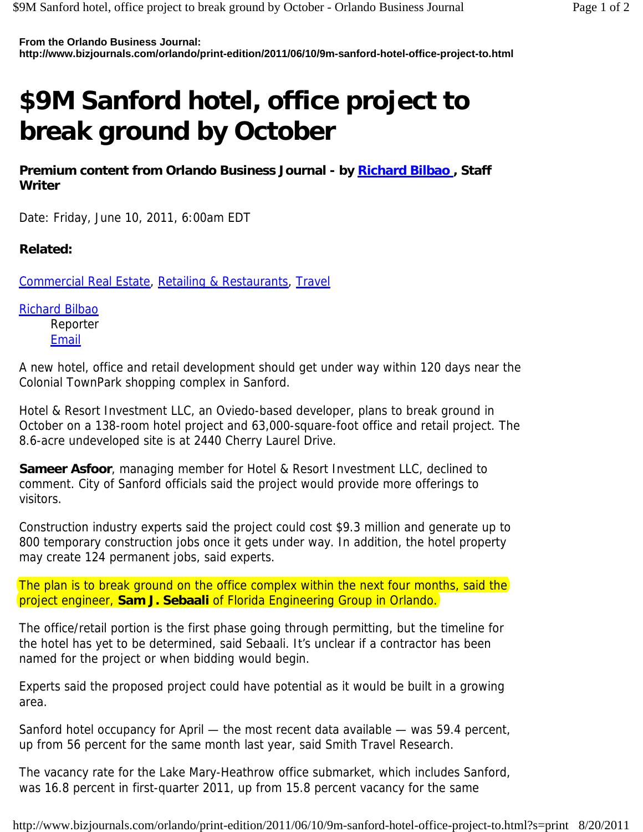**From the Orlando Business Journal: http://www.bizjournals.com/orlando/print-edition/2011/06/10/9m-sanford-hotel-office-project-to.html**

## **\$9M Sanford hotel, office project to break ground by October**

Premium content from Orlando Business Journal - by Richard Bilbao, Staff **Writer** 

Date: Friday, June 10, 2011, 6:00am EDT

## **Related:**

Commercial Real Estate, Retailing & Restaurants, Travel

Richard Bilbao Reporter **Email** 

A new hotel, office and retail development should get under way within 120 days near the Colonial TownPark shopping complex in Sanford.

Hotel & Resort Investment LLC, an Oviedo-based developer, plans to break ground in October on a 138-room hotel project and 63,000-square-foot office and retail project. The 8.6-acre undeveloped site is at 2440 Cherry Laurel Drive.

**Sameer Asfoor**, managing member for Hotel & Resort Investment LLC, declined to comment. City of Sanford officials said the project would provide more offerings to visitors.

Construction industry experts said the project could cost \$9.3 million and generate up to 800 temporary construction jobs once it gets under way. In addition, the hotel property may create 124 permanent jobs, said experts.

The plan is to break ground on the office complex within the next four months, said the project engineer, **Sam J. Sebaali** of Florida Engineering Group in Orlando.

The office/retail portion is the first phase going through permitting, but the timeline for the hotel has yet to be determined, said Sebaali. It's unclear if a contractor has been named for the project or when bidding would begin.

Experts said the proposed project could have potential as it would be built in a growing area.

Sanford hotel occupancy for April — the most recent data available — was 59.4 percent, up from 56 percent for the same month last year, said Smith Travel Research.

The vacancy rate for the Lake Mary-Heathrow office submarket, which includes Sanford, was 16.8 percent in first-quarter 2011, up from 15.8 percent vacancy for the same